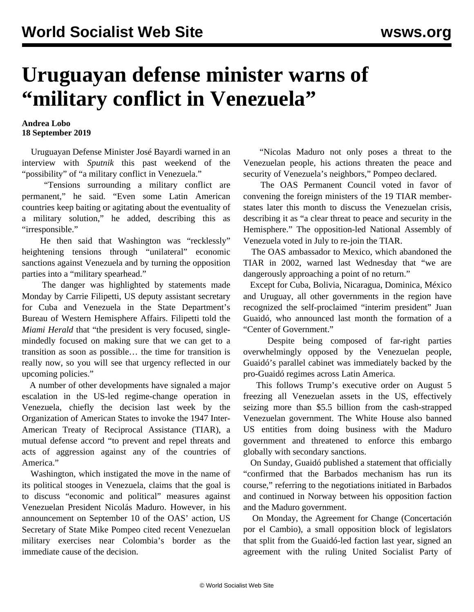## **Uruguayan defense minister warns of "military conflict in Venezuela"**

## **Andrea Lobo 18 September 2019**

 Uruguayan Defense Minister José Bayardi warned in an interview with *Sputnik* this past weekend of the "possibility" of "a military conflict in Venezuela."

 "Tensions surrounding a military conflict are permanent," he said. "Even some Latin American countries keep baiting or agitating about the eventuality of a military solution," he added, describing this as "irresponsible."

 He then said that Washington was "recklessly" heightening tensions through "unilateral" economic sanctions against Venezuela and by turning the opposition parties into a "military spearhead."

 The danger was highlighted by statements made Monday by Carrie Filipetti, US deputy assistant secretary for Cuba and Venezuela in the State Department's Bureau of Western Hemisphere Affairs. Filipetti told the *Miami Herald* that "the president is very focused, singlemindedly focused on making sure that we can get to a transition as soon as possible… the time for transition is really now, so you will see that urgency reflected in our upcoming policies."

 A number of other developments have signaled a major escalation in the US-led regime-change operation in Venezuela, chiefly the decision last week by the Organization of American States to invoke the 1947 Inter-American Treaty of Reciprocal Assistance (TIAR), a mutual defense accord "to prevent and repel threats and acts of aggression against any of the countries of America."

 Washington, which instigated the move in the name of its political stooges in Venezuela, claims that the goal is to discuss "economic and political" measures against Venezuelan President Nicolás Maduro. However, in his announcement on September 10 of the OAS' action, US Secretary of State Mike Pompeo cited recent Venezuelan military exercises near Colombia's border as the immediate cause of the decision.

 "Nicolas Maduro not only poses a threat to the Venezuelan people, his actions threaten the peace and security of Venezuela's neighbors," Pompeo declared.

 The OAS Permanent Council voted in favor of convening the foreign ministers of the 19 TIAR memberstates later this month to discuss the Venezuelan crisis, describing it as "a clear threat to peace and security in the Hemisphere." The opposition-led National Assembly of Venezuela voted in July to re-join the TIAR.

 The OAS ambassador to Mexico, which abandoned the TIAR in 2002, warned last Wednesday that "we are dangerously approaching a point of no return."

 Except for Cuba, Bolivia, Nicaragua, Dominica, México and Uruguay, all other governments in the region have recognized the self-proclaimed "interim president" Juan Guaidó, who announced last month the formation of a "Center of Government."

 Despite being composed of far-right parties overwhelmingly opposed by the Venezuelan people, Guaidó's parallel cabinet was immediately backed by the pro-Guaidó regimes across Latin America.

 This follows Trump's executive order on August 5 freezing all Venezuelan assets in the US, effectively seizing more than \$5.5 billion from the cash-strapped Venezuelan government. The White House also banned US entities from doing business with the Maduro government and threatened to enforce this embargo globally with secondary sanctions.

 On Sunday, Guaidó published a statement that officially "confirmed that the Barbados mechanism has run its course," referring to the negotiations initiated in Barbados and continued in Norway between his opposition faction and the Maduro government.

 On Monday, the Agreement for Change (Concertación por el Cambio), a small opposition block of legislators that split from the Guaidó-led faction last year, signed an agreement with the ruling United Socialist Party of